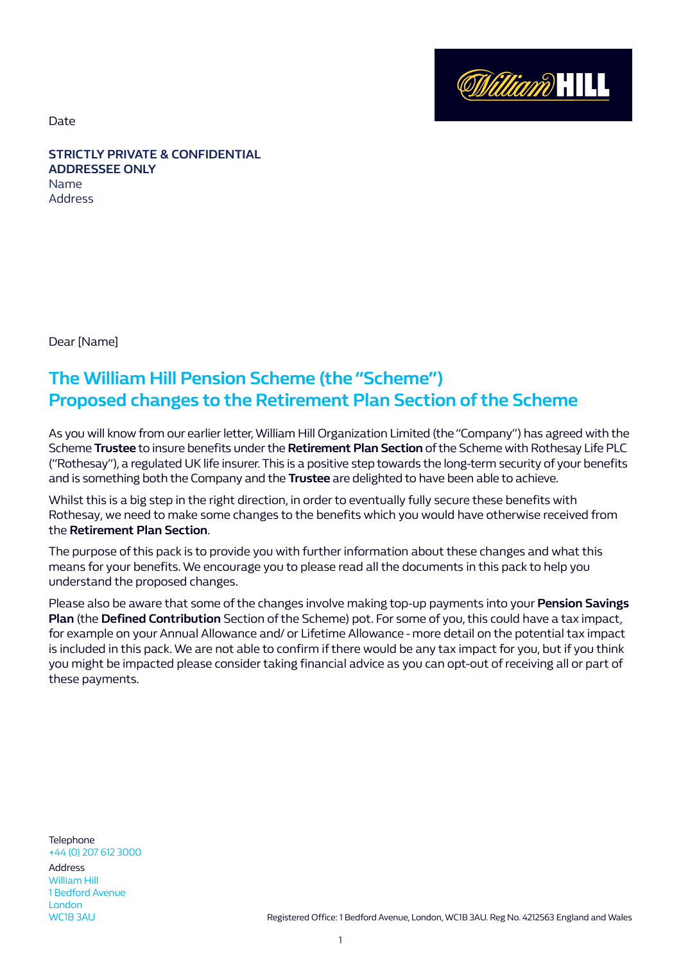**William HILL** 

Date

**STRICTLY PRIVATE & CONFIDENTIAL ADDRESSEE ONLY**  Name Address

Dear [Name]

# **The William Hill Pension Scheme (the "Scheme") Proposed changes to the Retirement Plan Section of the Scheme**

As you will know from our earlier letter, William Hill Organization Limited (the "Company") has agreed with the Scheme **Trustee** to insure benefits under the **Retirement Plan Section** of the Scheme with Rothesay Life PLC ("Rothesay"), a regulated UK life insurer. This is a positive step towards the long-term security of your benefits and is something both the Company and the **Trustee** are delighted to have been able to achieve.

Whilst this is a big step in the right direction, in order to eventually fully secure these benefits with Rothesay, we need to make some changes to the benefits which you would have otherwise received from the **Retirement Plan Section**.

The purpose of this pack is to provide you with further information about these changes and what this means for your benefits. We encourage you to please read all the documents in this pack to help you understand the proposed changes.

Please also be aware that some of the changes involve making top-up payments into your **Pension Savings Plan** (the **Defined Contribution** Section of the Scheme) pot. For some of you, this could have a tax impact, for example on your Annual Allowance and/ or Lifetime Allowance - more detail on the potential tax impact is included in this pack. We are not able to confirm if there would be any tax impact for you, but if you think you might be impacted please consider taking financial advice as you can opt-out of receiving all or part of these payments.

**Telephone** +44 (0) 207 612 3000 Address

William Hill 1 Bedford Avenue London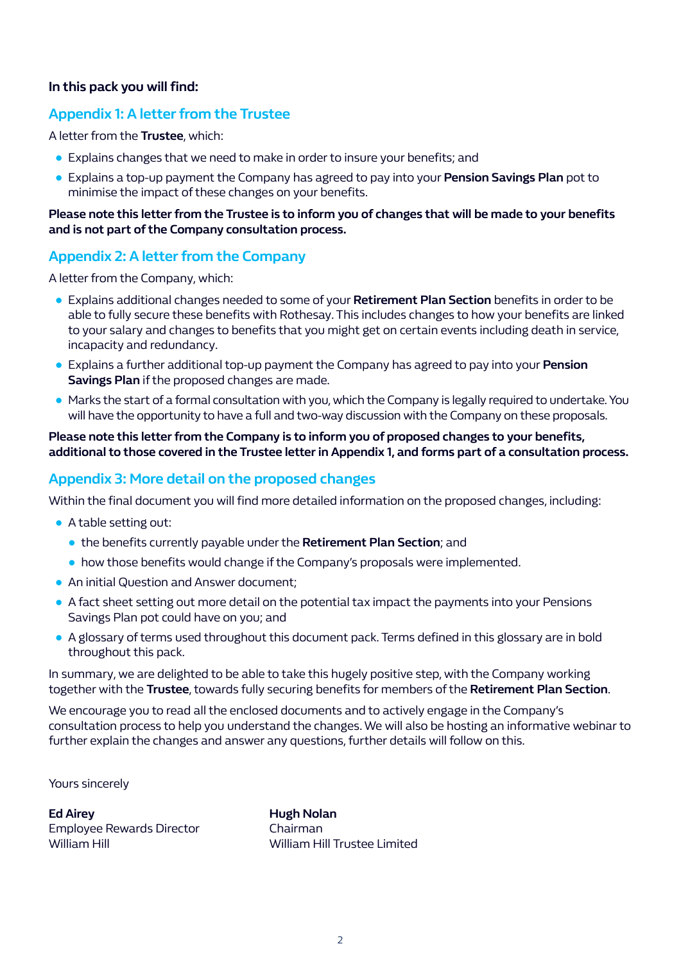#### **In this pack you will find:**

## **Appendix 1: A letter from the Trustee**

A letter from the **Trustee**, which:

- Explains changes that we need to make in order to insure your benefits; and
- Explains a top-up payment the Company has agreed to pay into your **Pension Savings Plan** pot to minimise the impact of these changes on your benefits.

#### **Please note this letter from the Trustee is to inform you of changes that will be made to your benefits and is not part of the Company consultation process.**

## **Appendix 2: A letter from the Company**

A letter from the Company, which:

- Explains additional changes needed to some of your **Retirement Plan Section** benefits in order to be able to fully secure these benefits with Rothesay. This includes changes to how your benefits are linked to your salary and changes to benefits that you might get on certain events including death in service, incapacity and redundancy.
- Explains a further additional top-up payment the Company has agreed to pay into your **Pension Savings Plan** if the proposed changes are made.
- Marks the start of a formal consultation with you, which the Company is legally required to undertake. You will have the opportunity to have a full and two-way discussion with the Company on these proposals.

#### **Please note this letter from the Company is to inform you of proposed changes to your benefits, additional to those covered in the Trustee letter in Appendix 1, and forms part of a consultation process.**

## **Appendix 3: More detail on the proposed changes**

Within the final document you will find more detailed information on the proposed changes, including:

- A table setting out:
	- the benefits currently payable under the **Retirement Plan Section**; and
	- how those benefits would change if the Company's proposals were implemented.
- An initial Question and Answer document;
- A fact sheet setting out more detail on the potential tax impact the payments into your Pensions Savings Plan pot could have on you; and
- A glossary of terms used throughout this document pack. Terms defined in this glossary are in bold throughout this pack.

In summary, we are delighted to be able to take this hugely positive step, with the Company working together with the **Trustee**, towards fully securing benefits for members of the **Retirement Plan Section**.

We encourage you to read all the enclosed documents and to actively engage in the Company's consultation process to help you understand the changes. We will also be hosting an informative webinar to further explain the changes and answer any questions, further details will follow on this.

Yours sincerely

**Ed Airey** Employee Rewards Director William Hill

**Hugh Nolan** Chairman William Hill Trustee Limited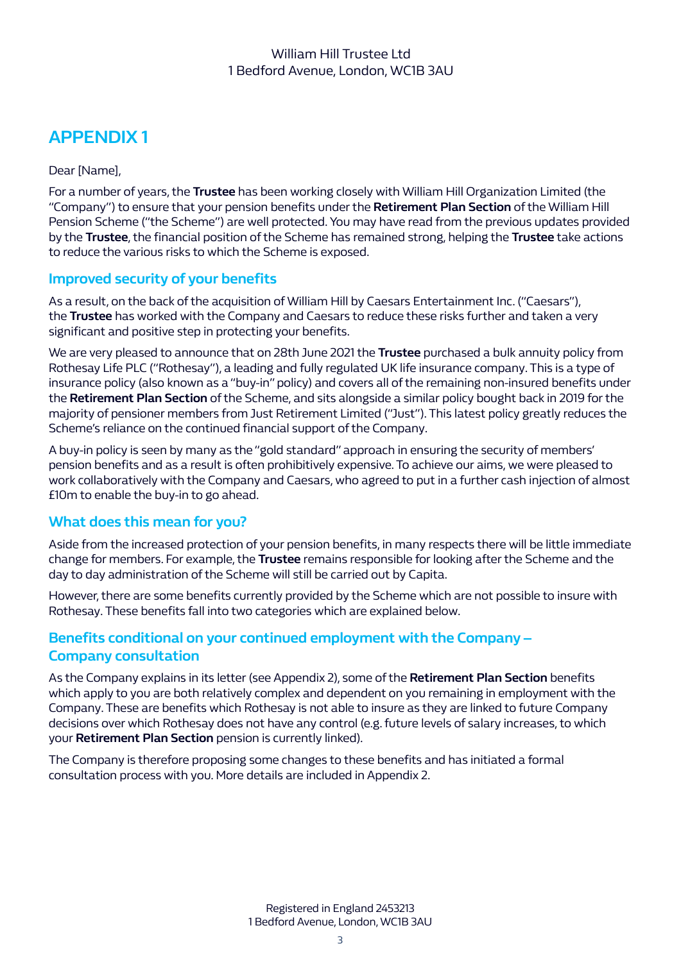# **APPENDIX 1**

Dear [Name],

For a number of years, the **Trustee** has been working closely with William Hill Organization Limited (the "Company") to ensure that your pension benefits under the **Retirement Plan Section** of the William Hill Pension Scheme ("the Scheme") are well protected. You may have read from the previous updates provided by the **Trustee**, the financial position of the Scheme has remained strong, helping the **Trustee** take actions to reduce the various risks to which the Scheme is exposed.

# **Improved security of your benefits**

As a result, on the back of the acquisition of William Hill by Caesars Entertainment Inc. ("Caesars"), the **Trustee** has worked with the Company and Caesars to reduce these risks further and taken a very significant and positive step in protecting your benefits.

We are very pleased to announce that on 28th June 2021 the **Trustee** purchased a bulk annuity policy from Rothesay Life PLC ("Rothesay"), a leading and fully regulated UK life insurance company. This is a type of insurance policy (also known as a "buy-in" policy) and covers all of the remaining non-insured benefits under the **Retirement Plan Section** of the Scheme, and sits alongside a similar policy bought back in 2019 for the majority of pensioner members from Just Retirement Limited ("Just"). This latest policy greatly reduces the Scheme's reliance on the continued financial support of the Company.

A buy-in policy is seen by many as the "gold standard" approach in ensuring the security of members' pension benefits and as a result is often prohibitively expensive. To achieve our aims, we were pleased to work collaboratively with the Company and Caesars, who agreed to put in a further cash injection of almost £10m to enable the buy-in to go ahead.

# **What does this mean for you?**

Aside from the increased protection of your pension benefits, in many respects there will be little immediate change for members. For example, the **Trustee** remains responsible for looking after the Scheme and the day to day administration of the Scheme will still be carried out by Capita.

However, there are some benefits currently provided by the Scheme which are not possible to insure with Rothesay. These benefits fall into two categories which are explained below.

# **Benefits conditional on your continued employment with the Company – Company consultation**

As the Company explains in its letter (see Appendix 2), some of the **Retirement Plan Section** benefits which apply to you are both relatively complex and dependent on you remaining in employment with the Company. These are benefits which Rothesay is not able to insure as they are linked to future Company decisions over which Rothesay does not have any control (e.g. future levels of salary increases, to which your **Retirement Plan Section** pension is currently linked).

The Company is therefore proposing some changes to these benefits and has initiated a formal consultation process with you. More details are included in Appendix 2.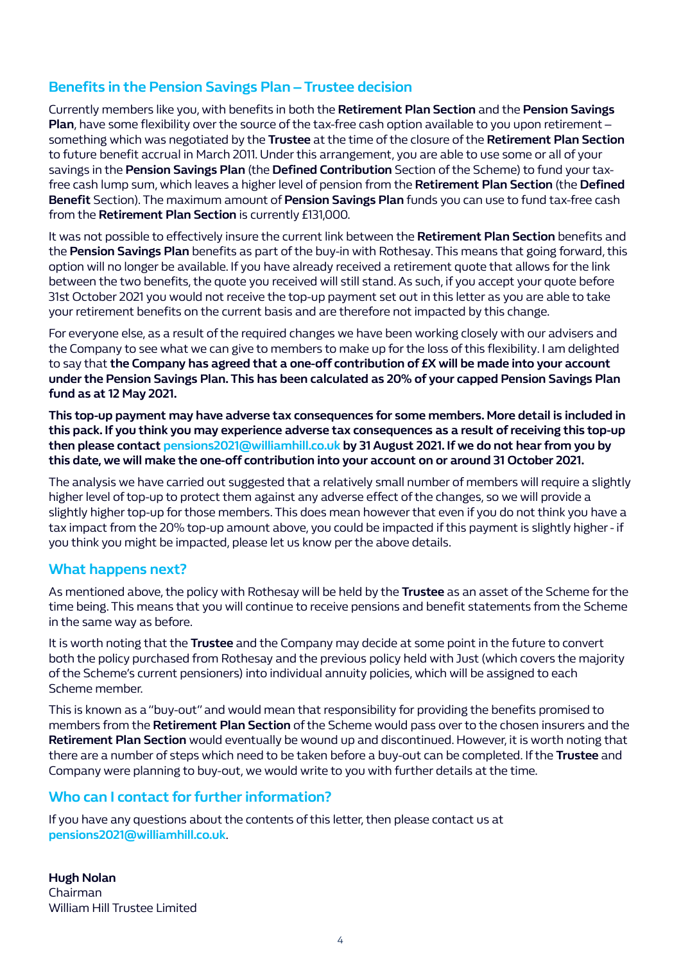# **Benefits in the Pension Savings Plan – Trustee decision**

Currently members like you, with benefits in both the **Retirement Plan Section** and the **Pension Savings Plan**, have some flexibility over the source of the tax-free cash option available to you upon retirement – something which was negotiated by the **Trustee** at the time of the closure of the **Retirement Plan Section**  to future benefit accrual in March 2011. Under this arrangement, you are able to use some or all of your savings in the **Pension Savings Plan** (the **Defined Contribution** Section of the Scheme) to fund your taxfree cash lump sum, which leaves a higher level of pension from the **Retirement Plan Section** (the **Defined Benefit** Section). The maximum amount of **Pension Savings Plan** funds you can use to fund tax-free cash from the **Retirement Plan Section** is currently £131,000.

It was not possible to effectively insure the current link between the **Retirement Plan Section** benefits and the **Pension Savings Plan** benefits as part of the buy-in with Rothesay. This means that going forward, this option will no longer be available. If you have already received a retirement quote that allows for the link between the two benefits, the quote you received will still stand. As such, if you accept your quote before 31st October 2021 you would not receive the top-up payment set out in this letter as you are able to take your retirement benefits on the current basis and are therefore not impacted by this change.

For everyone else, as a result of the required changes we have been working closely with our advisers and the Company to see what we can give to members to make up for the loss of this flexibility. I am delighted to say that **the Company has agreed that a one-off contribution of £X will be made into your account under the Pension Savings Plan. This has been calculated as 20% of your capped Pension Savings Plan fund as at 12 May 2021.** 

**This top-up payment may have adverse tax consequences for some members. More detail is included in this pack. If you think you may experience adverse tax consequences as a result of receiving this top-up then please contact pensions2021@williamhill.co.uk by 31 August 2021. If we do not hear from you by this date, we will make the one-off contribution into your account on or around 31 October 2021.** 

The analysis we have carried out suggested that a relatively small number of members will require a slightly higher level of top-up to protect them against any adverse effect of the changes, so we will provide a slightly higher top-up for those members. This does mean however that even if you do not think you have a tax impact from the 20% top-up amount above, you could be impacted if this payment is slightly higher - if you think you might be impacted, please let us know per the above details.

# **What happens next?**

As mentioned above, the policy with Rothesay will be held by the **Trustee** as an asset of the Scheme for the time being. This means that you will continue to receive pensions and benefit statements from the Scheme in the same way as before.

It is worth noting that the **Trustee** and the Company may decide at some point in the future to convert both the policy purchased from Rothesay and the previous policy held with Just (which covers the majority of the Scheme's current pensioners) into individual annuity policies, which will be assigned to each Scheme member.

This is known as a "buy-out" and would mean that responsibility for providing the benefits promised to members from the **Retirement Plan Section** of the Scheme would pass over to the chosen insurers and the **Retirement Plan Section** would eventually be wound up and discontinued. However, it is worth noting that there are a number of steps which need to be taken before a buy-out can be completed. If the **Trustee** and Company were planning to buy-out, we would write to you with further details at the time.

# **Who can I contact for further information?**

If you have any questions about the contents of this letter, then please contact us at **pensions2021@williamhill.co.uk**.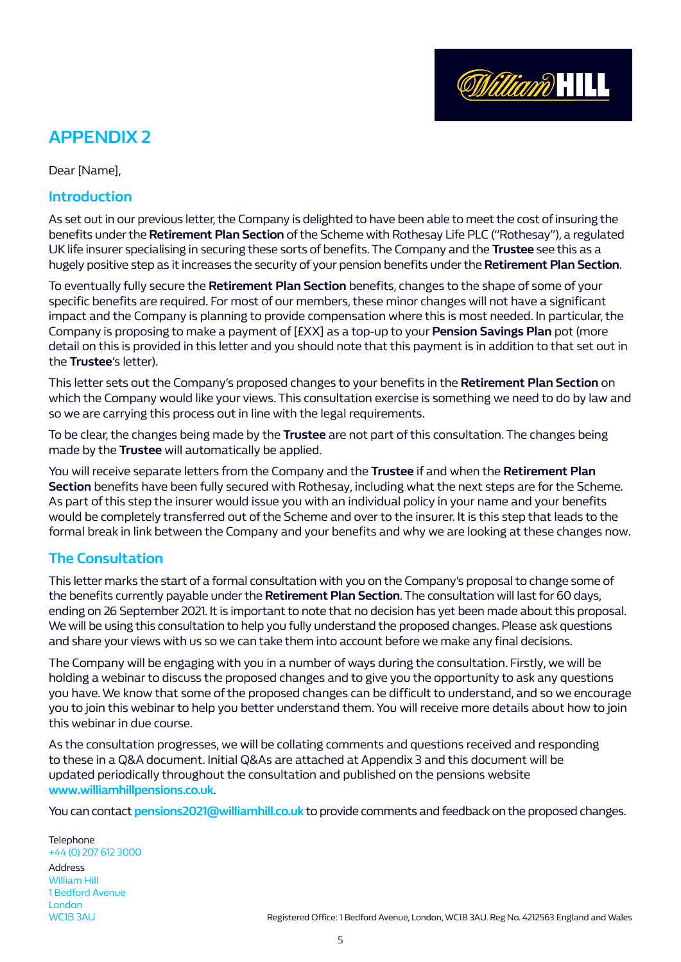

# **APPENDIX 2**

Dear [Name],

#### **Introduction**

As set out in our previous letter, the Company is delighted to have been able to meet the cost of insuring the benefits under the **Retirement Plan Section** of the Scheme with Rothesay Life PLC ("Rothesay"), a regulated UK life insurer specialising in securing these sorts of benefits. The Company and the **Trustee** see this as a hugely positive step as it increases the security of your pension benefits under the **Retirement Plan Section**.

To eventually fully secure the **Retirement Plan Section** benefits, changes to the shape of some of your specific benefits are required. For most of our members, these minor changes will not have a significant impact and the Company is planning to provide compensation where this is most needed. In particular, the Company is proposing to make a payment of [£XX] as a top-up to your **Pension Savings Plan** pot (more detail on this is provided in this letter and you should note that this payment is in addition to that set out in the **Trustee**'s letter).

This letter sets out the Company's proposed changes to your benefits in the **Retirement Plan Section** on which the Company would like your views. This consultation exercise is something we need to do by law and so we are carrying this process out in line with the legal requirements.

To be clear, the changes being made by the **Trustee** are not part of this consultation. The changes being made by the **Trustee** will automatically be applied.

You will receive separate letters from the Company and the **Trustee** if and when the **Retirement Plan Section** benefits have been fully secured with Rothesay, including what the next steps are for the Scheme. As part of this step the insurer would issue you with an individual policy in your name and your benefits would be completely transferred out of the Scheme and over to the insurer. It is this step that leads to the formal break in link between the Company and your benefits and why we are looking at these changes now.

# **The Consultation**

This letter marks the start of a formal consultation with you on the Company's proposal to change some of the benefits currently payable under the **Retirement Plan Section**. The consultation will last for 60 days, ending on 26 September 2021. It is important to note that no decision has yet been made about this proposal. We will be using this consultation to help you fully understand the proposed changes. Please ask questions and share your views with us so we can take them into account before we make any final decisions.

The Company will be engaging with you in a number of ways during the consultation. Firstly, we will be holding a webinar to discuss the proposed changes and to give you the opportunity to ask any questions you have. We know that some of the proposed changes can be difficult to understand, and so we encourage you to join this webinar to help you better understand them. You will receive more details about how to join this webinar in due course.

As the consultation progresses, we will be collating comments and questions received and responding to these in a Q&A document. Initial Q&As are attached at Appendix 3 and this document will be updated periodically throughout the consultation and published on the pensions website **www.williamhillpensions.co.uk**.

You can contact **pensions2021@williamhill.co.uk** to provide comments and feedback on the proposed changes.

**Telephone** +44 (0) 207 612 3000 Address William Hill 1 Bedford Avenue London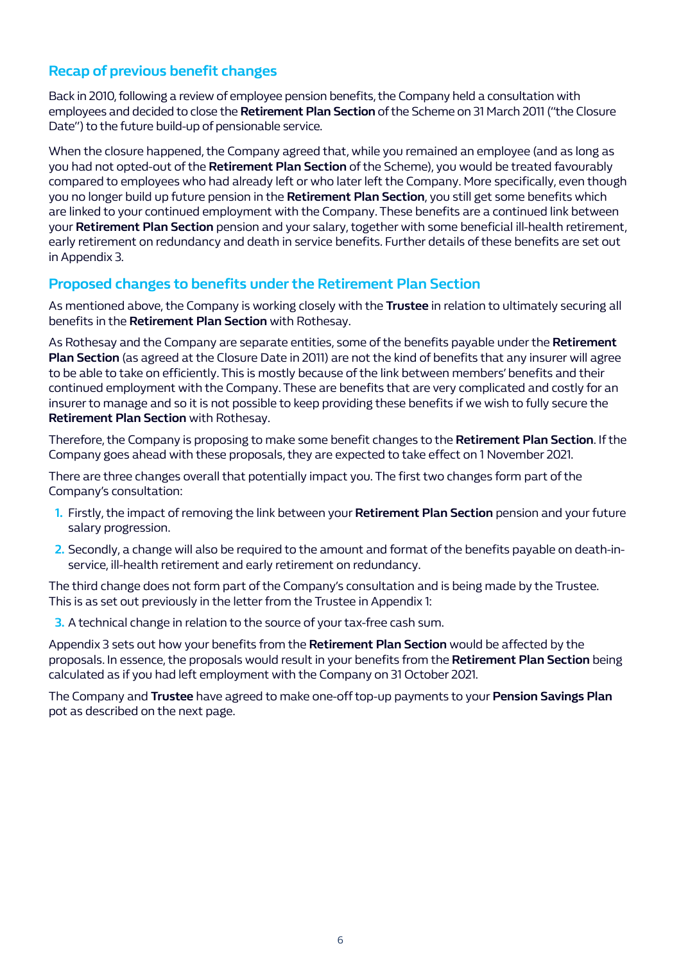# **Recap of previous benefit changes**

Back in 2010, following a review of employee pension benefits, the Company held a consultation with employees and decided to close the **Retirement Plan Section** of the Scheme on 31 March 2011 ("the Closure Date") to the future build-up of pensionable service.

When the closure happened, the Company agreed that, while you remained an employee (and as long as you had not opted-out of the **Retirement Plan Section** of the Scheme), you would be treated favourably compared to employees who had already left or who later left the Company. More specifically, even though you no longer build up future pension in the **Retirement Plan Section**, you still get some benefits which are linked to your continued employment with the Company. These benefits are a continued link between your **Retirement Plan Section** pension and your salary, together with some beneficial ill-health retirement, early retirement on redundancy and death in service benefits. Further details of these benefits are set out in Appendix 3.

## **Proposed changes to benefits under the Retirement Plan Section**

As mentioned above, the Company is working closely with the **Trustee** in relation to ultimately securing all benefits in the **Retirement Plan Section** with Rothesay.

As Rothesay and the Company are separate entities, some of the benefits payable under the **Retirement Plan Section** (as agreed at the Closure Date in 2011) are not the kind of benefits that any insurer will agree to be able to take on efficiently. This is mostly because of the link between members' benefits and their continued employment with the Company. These are benefits that are very complicated and costly for an insurer to manage and so it is not possible to keep providing these benefits if we wish to fully secure the **Retirement Plan Section** with Rothesay.

Therefore, the Company is proposing to make some benefit changes to the **Retirement Plan Section**. If the Company goes ahead with these proposals, they are expected to take effect on 1 November 2021.

There are three changes overall that potentially impact you. The first two changes form part of the Company's consultation:

- **1.** Firstly, the impact of removing the link between your **Retirement Plan Section** pension and your future salary progression.
- **2.** Secondly, a change will also be required to the amount and format of the benefits payable on death-inservice, ill-health retirement and early retirement on redundancy.

The third change does not form part of the Company's consultation and is being made by the Trustee. This is as set out previously in the letter from the Trustee in Appendix 1:

**3.** A technical change in relation to the source of your tax-free cash sum.

Appendix 3 sets out how your benefits from the **Retirement Plan Section** would be affected by the proposals. In essence, the proposals would result in your benefits from the **Retirement Plan Section** being calculated as if you had left employment with the Company on 31 October 2021.

The Company and **Trustee** have agreed to make one-off top-up payments to your **Pension Savings Plan** pot as described on the next page.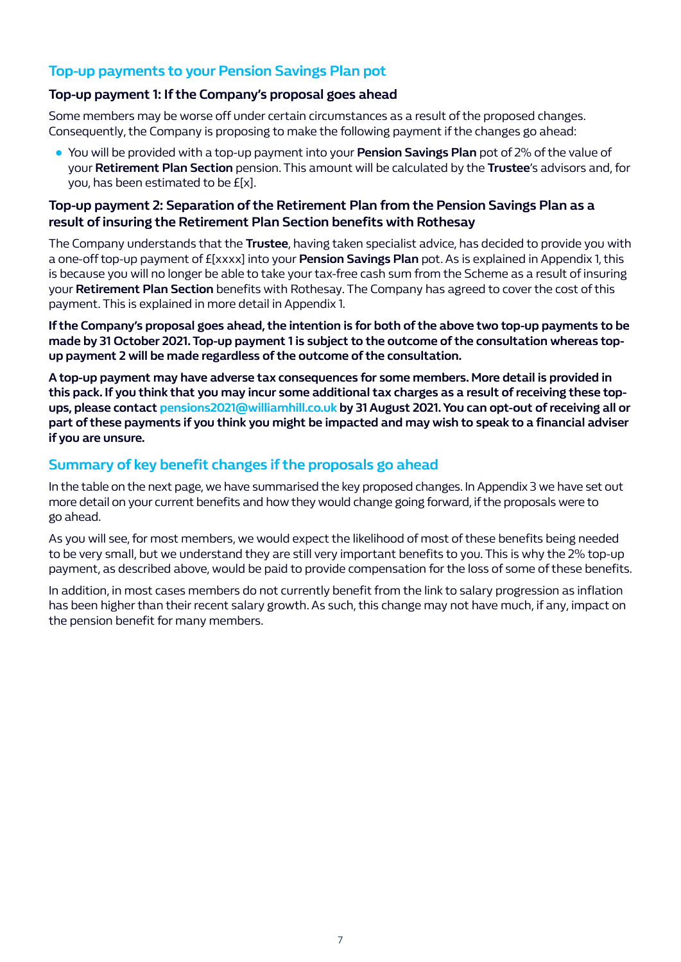# **Top-up payments to your Pension Savings Plan pot**

#### **Top-up payment 1: If the Company's proposal goes ahead**

Some members may be worse off under certain circumstances as a result of the proposed changes. Consequently, the Company is proposing to make the following payment if the changes go ahead:

● You will be provided with a top-up payment into your **Pension Savings Plan** pot of 2% of the value of your **Retirement Plan Section** pension. This amount will be calculated by the **Trustee**'s advisors and, for you, has been estimated to be £[x].

#### **Top-up payment 2: Separation of the Retirement Plan from the Pension Savings Plan as a result of insuring the Retirement Plan Section benefits with Rothesay**

The Company understands that the **Trustee**, having taken specialist advice, has decided to provide you with a one-off top-up payment of £[xxxx] into your **Pension Savings Plan** pot. As is explained in Appendix 1, this is because you will no longer be able to take your tax-free cash sum from the Scheme as a result of insuring your **Retirement Plan Section** benefits with Rothesay. The Company has agreed to cover the cost of this payment. This is explained in more detail in Appendix 1.

**If the Company's proposal goes ahead, the intention is for both of the above two top-up payments to be made by 31 October 2021. Top-up payment 1 is subject to the outcome of the consultation whereas topup payment 2 will be made regardless of the outcome of the consultation.** 

**A top-up payment may have adverse tax consequences for some members. More detail is provided in this pack. If you think that you may incur some additional tax charges as a result of receiving these topups, please contact pensions2021@williamhill.co.uk by 31 August 2021. You can opt-out of receiving all or part of these payments if you think you might be impacted and may wish to speak to a financial adviser if you are unsure.**

# **Summary of key benefit changes if the proposals go ahead**

In the table on the next page, we have summarised the key proposed changes. In Appendix 3 we have set out more detail on your current benefits and how they would change going forward, if the proposals were to go ahead.

As you will see, for most members, we would expect the likelihood of most of these benefits being needed to be very small, but we understand they are still very important benefits to you. This is why the 2% top-up payment, as described above, would be paid to provide compensation for the loss of some of these benefits.

In addition, in most cases members do not currently benefit from the link to salary progression as inflation has been higher than their recent salary growth. As such, this change may not have much, if any, impact on the pension benefit for many members.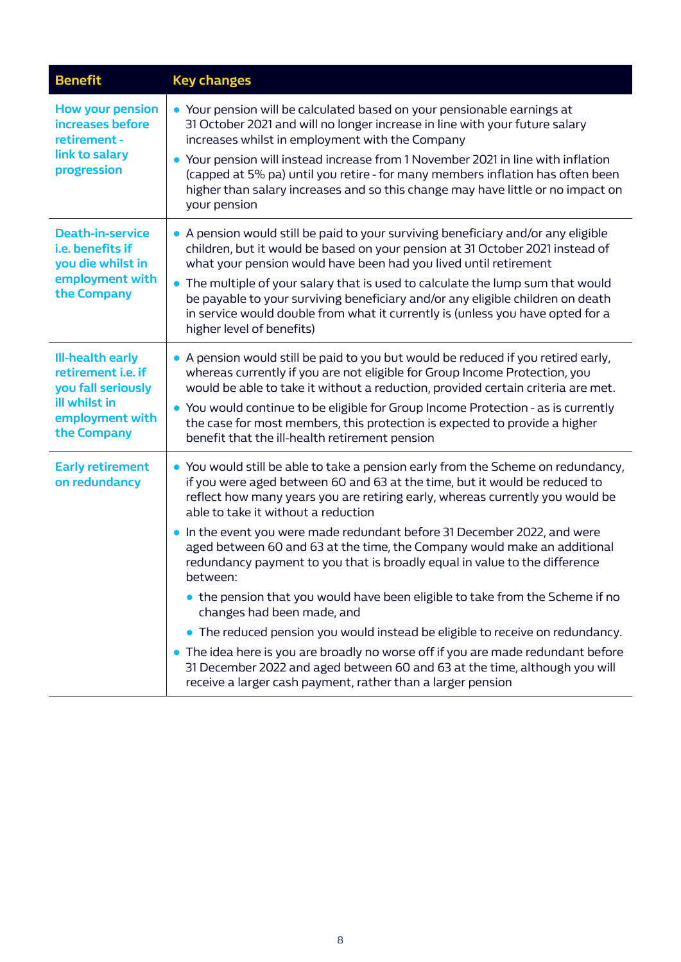| <b>Benefit</b>                                                                                                                | <b>Key changes</b>                                                                                                                                                                                                                                                                                                                                                                                                                                                                                                                                                                                                                                                                                                                                                                                                                                                                                                                                                        |
|-------------------------------------------------------------------------------------------------------------------------------|---------------------------------------------------------------------------------------------------------------------------------------------------------------------------------------------------------------------------------------------------------------------------------------------------------------------------------------------------------------------------------------------------------------------------------------------------------------------------------------------------------------------------------------------------------------------------------------------------------------------------------------------------------------------------------------------------------------------------------------------------------------------------------------------------------------------------------------------------------------------------------------------------------------------------------------------------------------------------|
| <b>How your pension</b><br>increases before<br>retirement -<br>link to salary<br>progression                                  | • Your pension will be calculated based on your pensionable earnings at<br>31 October 2021 and will no longer increase in line with your future salary<br>increases whilst in employment with the Company<br>• Your pension will instead increase from 1 November 2021 in line with inflation<br>(capped at 5% pa) until you retire - for many members inflation has often been<br>higher than salary increases and so this change may have little or no impact on<br>your pension                                                                                                                                                                                                                                                                                                                                                                                                                                                                                        |
| <b>Death-in-service</b><br>i.e. benefits if<br>you die whilst in<br>employment with<br>the Company                            | • A pension would still be paid to your surviving beneficiary and/or any eligible<br>children, but it would be based on your pension at 31 October 2021 instead of<br>what your pension would have been had you lived until retirement<br>The multiple of your salary that is used to calculate the lump sum that would<br>$\bullet$<br>be payable to your surviving beneficiary and/or any eligible children on death<br>in service would double from what it currently is (unless you have opted for a<br>higher level of benefits)                                                                                                                                                                                                                                                                                                                                                                                                                                     |
| <b>Ill-health early</b><br>retirement <i>i.e.</i> if<br>you fall seriously<br>ill whilst in<br>employment with<br>the Company | • A pension would still be paid to you but would be reduced if you retired early,<br>whereas currently if you are not eligible for Group Income Protection, you<br>would be able to take it without a reduction, provided certain criteria are met.<br>You would continue to be eligible for Group Income Protection - as is currently<br>$\bullet$<br>the case for most members, this protection is expected to provide a higher<br>benefit that the ill-health retirement pension                                                                                                                                                                                                                                                                                                                                                                                                                                                                                       |
| <b>Early retirement</b><br>on redundancy                                                                                      | • You would still be able to take a pension early from the Scheme on redundancy,<br>if you were aged between 60 and 63 at the time, but it would be reduced to<br>reflect how many years you are retiring early, whereas currently you would be<br>able to take it without a reduction<br>. In the event you were made redundant before 31 December 2022, and were<br>aged between 60 and 63 at the time, the Company would make an additional<br>redundancy payment to you that is broadly equal in value to the difference<br>between:<br>• the pension that you would have been eligible to take from the Scheme if no<br>changes had been made, and<br>• The reduced pension you would instead be eligible to receive on redundancy.<br>• The idea here is you are broadly no worse off if you are made redundant before<br>31 December 2022 and aged between 60 and 63 at the time, although you will<br>receive a larger cash payment, rather than a larger pension |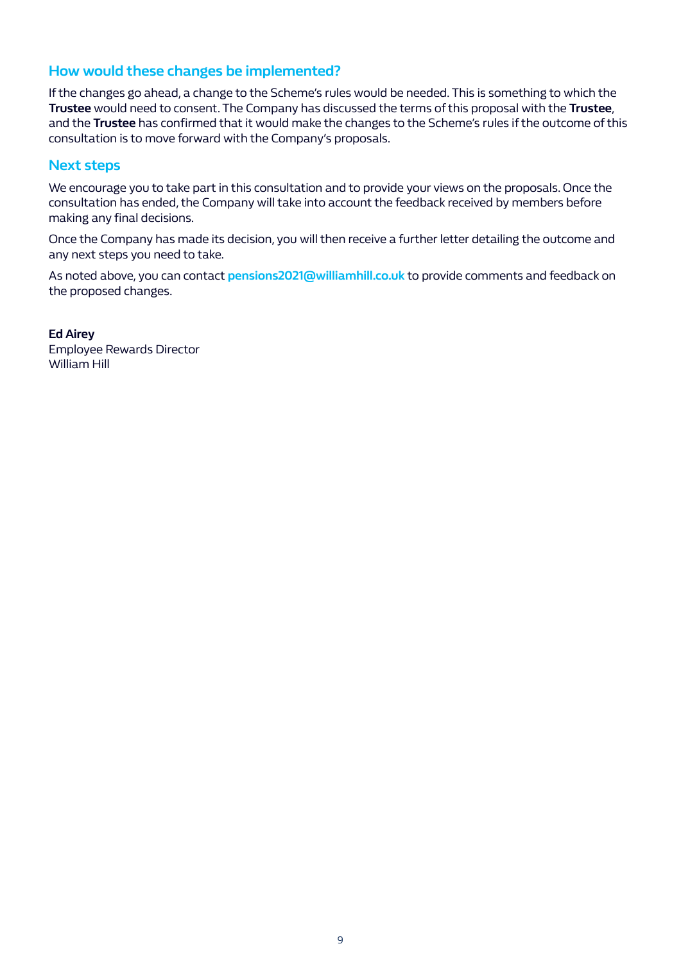## **How would these changes be implemented?**

If the changes go ahead, a change to the Scheme's rules would be needed. This is something to which the **Trustee** would need to consent. The Company has discussed the terms of this proposal with the **Trustee**, and the **Trustee** has confirmed that it would make the changes to the Scheme's rules if the outcome of this consultation is to move forward with the Company's proposals.

#### **Next steps**

We encourage you to take part in this consultation and to provide your views on the proposals. Once the consultation has ended, the Company will take into account the feedback received by members before making any final decisions.

Once the Company has made its decision, you will then receive a further letter detailing the outcome and any next steps you need to take.

As noted above, you can contact **pensions2021@williamhill.co.uk** to provide comments and feedback on the proposed changes.

**Ed Airey** Employee Rewards Director William Hill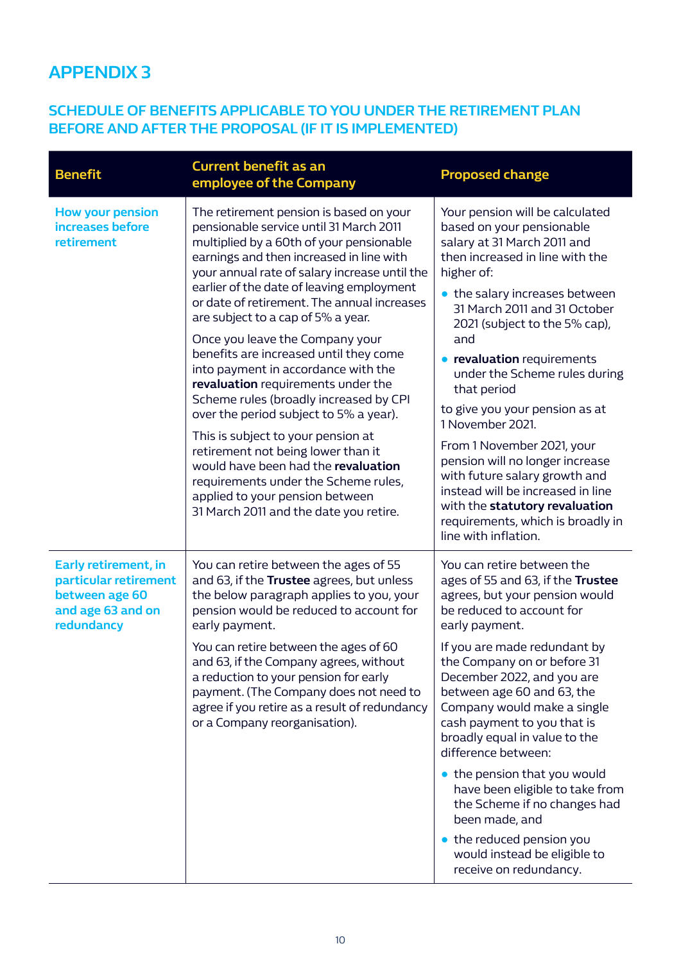# **APPENDIX 3**

# **SCHEDULE OF BENEFITS APPLICABLE TO YOU UNDER THE RETIREMENT PLAN BEFORE AND AFTER THE PROPOSAL (IF IT IS IMPLEMENTED)**

| <b>Benefit</b>                                                                                            | <b>Current benefit as an</b><br>employee of the Company                                                                                                                                                                                                                                                                                                                                          | <b>Proposed change</b>                                                                                                                                                                                                                                 |
|-----------------------------------------------------------------------------------------------------------|--------------------------------------------------------------------------------------------------------------------------------------------------------------------------------------------------------------------------------------------------------------------------------------------------------------------------------------------------------------------------------------------------|--------------------------------------------------------------------------------------------------------------------------------------------------------------------------------------------------------------------------------------------------------|
| <b>How your pension</b><br>increases before<br>retirement                                                 | The retirement pension is based on your<br>pensionable service until 31 March 2011<br>multiplied by a 60th of your pensionable<br>earnings and then increased in line with<br>your annual rate of salary increase until the<br>earlier of the date of leaving employment<br>or date of retirement. The annual increases<br>are subject to a cap of 5% a year.<br>Once you leave the Company your | Your pension will be calculated<br>based on your pensionable<br>salary at 31 March 2011 and<br>then increased in line with the<br>higher of:<br>• the salary increases between<br>31 March 2011 and 31 October<br>2021 (subject to the 5% cap),<br>and |
|                                                                                                           | benefits are increased until they come<br>into payment in accordance with the<br>revaluation requirements under the<br>Scheme rules (broadly increased by CPI<br>over the period subject to 5% a year).                                                                                                                                                                                          | <b>• revaluation</b> requirements<br>under the Scheme rules during<br>that period<br>to give you your pension as at                                                                                                                                    |
|                                                                                                           | This is subject to your pension at<br>retirement not being lower than it<br>would have been had the revaluation<br>requirements under the Scheme rules,<br>applied to your pension between<br>31 March 2011 and the date you retire.                                                                                                                                                             | 1 November 2021.<br>From 1 November 2021, your<br>pension will no longer increase<br>with future salary growth and<br>instead will be increased in line<br>with the statutory revaluation<br>requirements, which is broadly in<br>line with inflation. |
| <b>Early retirement, in</b><br>particular retirement<br>between age 60<br>and age 63 and on<br>redundancy | You can retire between the ages of 55<br>and 63, if the Trustee agrees, but unless<br>the below paragraph applies to you, your<br>pension would be reduced to account for<br>early payment.                                                                                                                                                                                                      | You can retire between the<br>ages of 55 and 63, if the Trustee<br>agrees, but your pension would<br>be reduced to account for<br>early payment.                                                                                                       |
|                                                                                                           | You can retire between the ages of 60<br>and 63, if the Company agrees, without<br>a reduction to your pension for early<br>payment. (The Company does not need to<br>agree if you retire as a result of redundancy<br>or a Company reorganisation).                                                                                                                                             | If you are made redundant by<br>the Company on or before 31<br>December 2022, and you are<br>between age 60 and 63, the<br>Company would make a single<br>cash payment to you that is<br>broadly equal in value to the<br>difference between:          |
|                                                                                                           |                                                                                                                                                                                                                                                                                                                                                                                                  | • the pension that you would<br>have been eligible to take from<br>the Scheme if no changes had<br>been made, and                                                                                                                                      |
|                                                                                                           |                                                                                                                                                                                                                                                                                                                                                                                                  | • the reduced pension you<br>would instead be eligible to<br>receive on redundancy.                                                                                                                                                                    |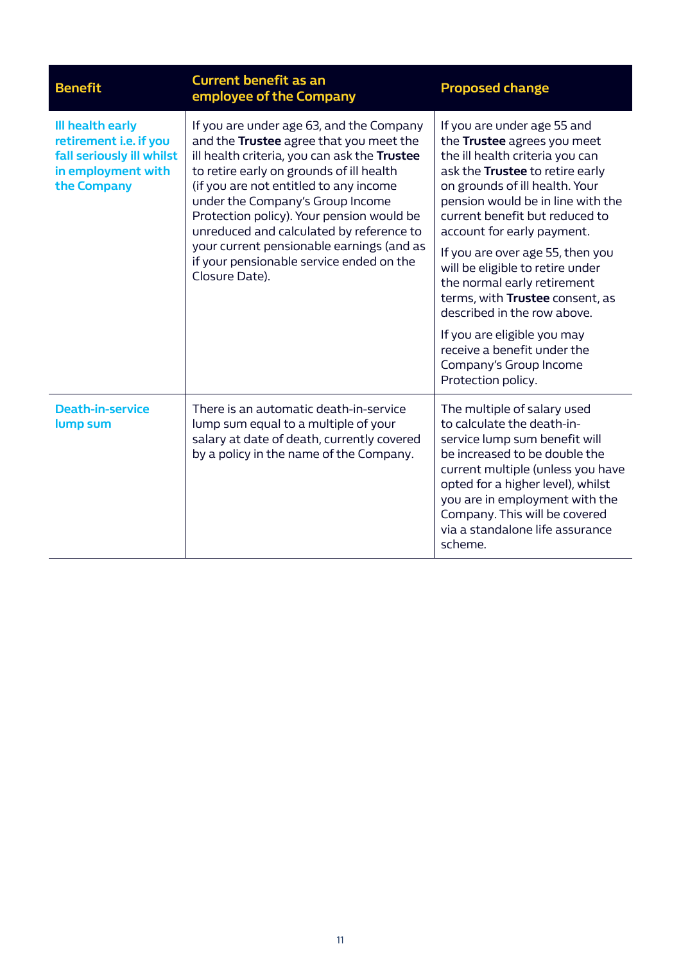| <b>Benefit</b>                                                                                               | <b>Current benefit as an</b><br>employee of the Company                                                                                                                                                                                                                                                                                                                                                                                                           | <b>Proposed change</b>                                                                                                                                                                                                                                                                                                                                                                                                                           |
|--------------------------------------------------------------------------------------------------------------|-------------------------------------------------------------------------------------------------------------------------------------------------------------------------------------------------------------------------------------------------------------------------------------------------------------------------------------------------------------------------------------------------------------------------------------------------------------------|--------------------------------------------------------------------------------------------------------------------------------------------------------------------------------------------------------------------------------------------------------------------------------------------------------------------------------------------------------------------------------------------------------------------------------------------------|
| Ill health early<br>retirement i.e. if you<br>fall seriously ill whilst<br>in employment with<br>the Company | If you are under age 63, and the Company<br>and the Trustee agree that you meet the<br>ill health criteria, you can ask the Trustee<br>to retire early on grounds of ill health<br>(if you are not entitled to any income<br>under the Company's Group Income<br>Protection policy). Your pension would be<br>unreduced and calculated by reference to<br>your current pensionable earnings (and as<br>if your pensionable service ended on the<br>Closure Date). | If you are under age 55 and<br>the Trustee agrees you meet<br>the ill health criteria you can<br>ask the Trustee to retire early<br>on grounds of ill health. Your<br>pension would be in line with the<br>current benefit but reduced to<br>account for early payment.<br>If you are over age 55, then you<br>will be eligible to retire under<br>the normal early retirement<br>terms, with Trustee consent, as<br>described in the row above. |
|                                                                                                              |                                                                                                                                                                                                                                                                                                                                                                                                                                                                   | If you are eligible you may<br>receive a benefit under the<br>Company's Group Income<br>Protection policy.                                                                                                                                                                                                                                                                                                                                       |
| <b>Death-in-service</b><br>lump sum                                                                          | There is an automatic death-in-service<br>lump sum equal to a multiple of your<br>salary at date of death, currently covered<br>by a policy in the name of the Company.                                                                                                                                                                                                                                                                                           | The multiple of salary used<br>to calculate the death-in-<br>service lump sum benefit will<br>be increased to be double the<br>current multiple (unless you have<br>opted for a higher level), whilst<br>you are in employment with the<br>Company. This will be covered<br>via a standalone life assurance<br>scheme.                                                                                                                           |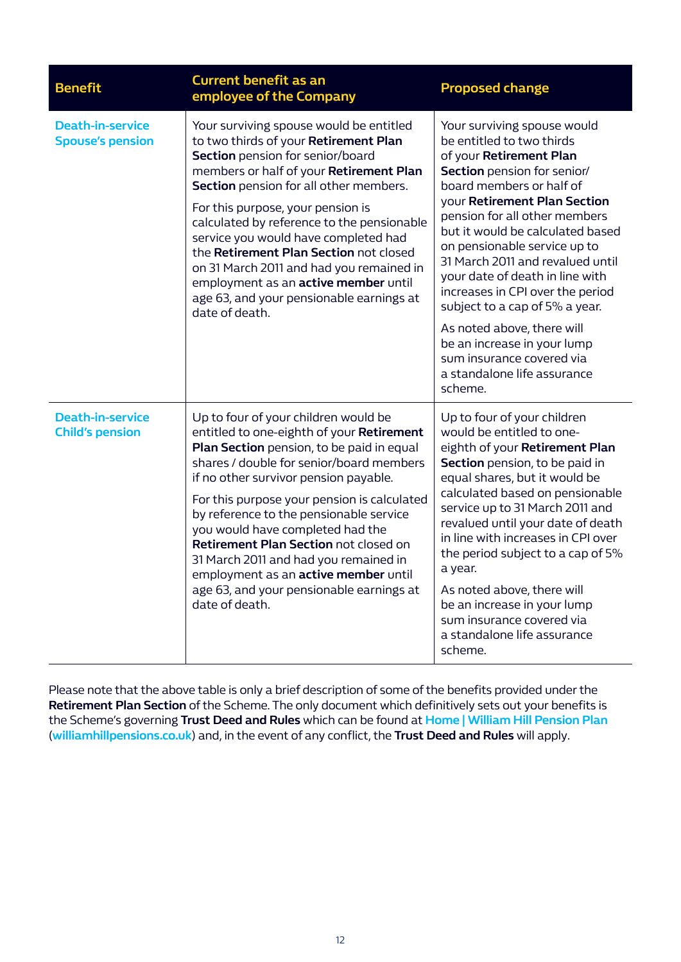| <b>Benefit</b>                                     | <b>Current benefit as an</b><br>employee of the Company                                                                                                                                                                                                                                                                                                                                                                                                                                                                                   | <b>Proposed change</b>                                                                                                                                                                                                                                                                                                                                                                                                                                                                                                                                                      |
|----------------------------------------------------|-------------------------------------------------------------------------------------------------------------------------------------------------------------------------------------------------------------------------------------------------------------------------------------------------------------------------------------------------------------------------------------------------------------------------------------------------------------------------------------------------------------------------------------------|-----------------------------------------------------------------------------------------------------------------------------------------------------------------------------------------------------------------------------------------------------------------------------------------------------------------------------------------------------------------------------------------------------------------------------------------------------------------------------------------------------------------------------------------------------------------------------|
| <b>Death-in-service</b><br><b>Spouse's pension</b> | Your surviving spouse would be entitled<br>to two thirds of your Retirement Plan<br>Section pension for senior/board<br>members or half of your Retirement Plan<br>Section pension for all other members.<br>For this purpose, your pension is<br>calculated by reference to the pensionable<br>service you would have completed had<br>the Retirement Plan Section not closed<br>on 31 March 2011 and had you remained in<br>employment as an active member until<br>age 63, and your pensionable earnings at<br>date of death.          | Your surviving spouse would<br>be entitled to two thirds<br>of your Retirement Plan<br>Section pension for senior/<br>board members or half of<br><b>vour Retirement Plan Section</b><br>pension for all other members<br>but it would be calculated based<br>on pensionable service up to<br>31 March 2011 and revalued until<br>your date of death in line with<br>increases in CPI over the period<br>subject to a cap of 5% a year.<br>As noted above, there will<br>be an increase in your lump<br>sum insurance covered via<br>a standalone life assurance<br>scheme. |
| <b>Death-in-service</b><br><b>Child's pension</b>  | Up to four of your children would be<br>entitled to one-eighth of your Retirement<br>Plan Section pension, to be paid in equal<br>shares / double for senior/board members<br>if no other survivor pension payable.<br>For this purpose your pension is calculated<br>by reference to the pensionable service<br>you would have completed had the<br>Retirement Plan Section not closed on<br>31 March 2011 and had you remained in<br>employment as an active member until<br>age 63, and your pensionable earnings at<br>date of death. | Up to four of your children<br>would be entitled to one-<br>eighth of your Retirement Plan<br>Section pension, to be paid in<br>equal shares, but it would be<br>calculated based on pensionable<br>service up to 31 March 2011 and<br>revalued until your date of death<br>in line with increases in CPI over<br>the period subject to a cap of 5%<br>a year.<br>As noted above, there will<br>be an increase in your lump<br>sum insurance covered via<br>a standalone life assurance<br>scheme.                                                                          |

Please note that the above table is only a brief description of some of the benefits provided under the **Retirement Plan Section** of the Scheme. The only document which definitively sets out your benefits is the Scheme's governing **Trust Deed and Rules** which can be found at **[Home | William Hill Pension Plan](https://www.williamhillpensions.co.uk/)**  (**[williamhillpensions.co.uk](https://www.williamhillpensions.co.uk/)**) and, in the event of any conflict, the **Trust Deed and Rules** will apply.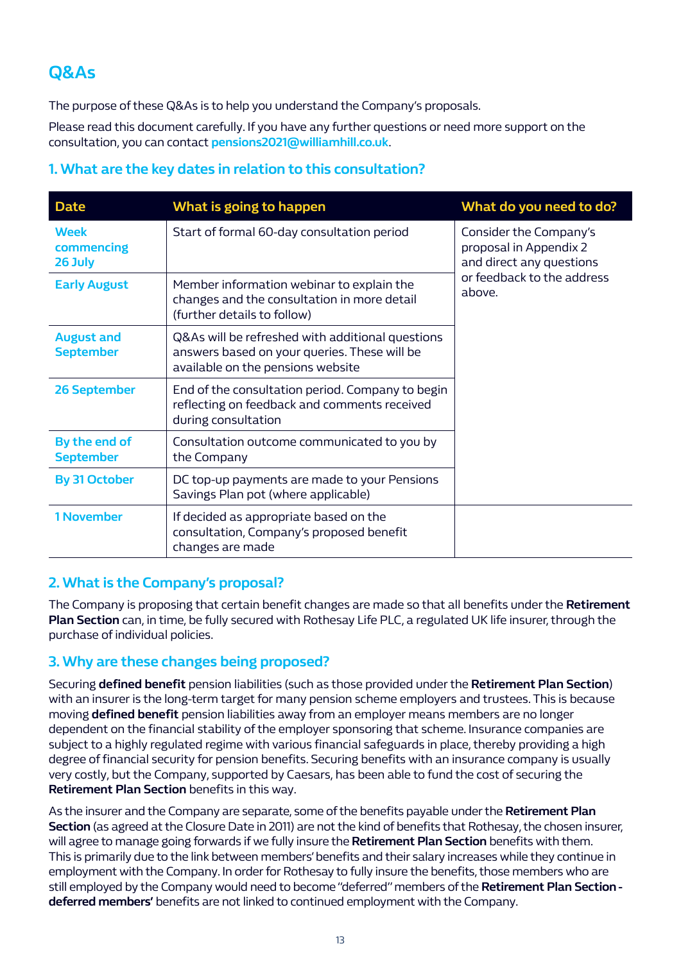# **Q&As**

The purpose of these Q&As is to help you understand the Company's proposals.

Please read this document carefully. If you have any further questions or need more support on the consultation, you can contact **pensions2021@williamhill.co.uk**.

# **1. What are the key dates in relation to this consultation?**

| <b>Date</b>                           | What is going to happen                                                                                                               | What do you need to do?                                                                                              |
|---------------------------------------|---------------------------------------------------------------------------------------------------------------------------------------|----------------------------------------------------------------------------------------------------------------------|
| <b>Week</b><br>commencing<br>26 July  | Start of formal 60-day consultation period                                                                                            | Consider the Company's<br>proposal in Appendix 2<br>and direct any questions<br>or feedback to the address<br>above. |
| <b>Early August</b>                   | Member information webinar to explain the<br>changes and the consultation in more detail<br>(further details to follow)               |                                                                                                                      |
| <b>August and</b><br><b>September</b> | Q&As will be refreshed with additional questions<br>answers based on your queries. These will be<br>available on the pensions website |                                                                                                                      |
| <b>26 September</b>                   | End of the consultation period. Company to begin<br>reflecting on feedback and comments received<br>during consultation               |                                                                                                                      |
| By the end of<br><b>September</b>     | Consultation outcome communicated to you by<br>the Company                                                                            |                                                                                                                      |
| <b>By 31 October</b>                  | DC top-up payments are made to your Pensions<br>Savings Plan pot (where applicable)                                                   |                                                                                                                      |
| <b>1 November</b>                     | If decided as appropriate based on the<br>consultation, Company's proposed benefit<br>changes are made                                |                                                                                                                      |

#### **2. What is the Company's proposal?**

The Company is proposing that certain benefit changes are made so that all benefits under the **Retirement Plan Section** can, in time, be fully secured with Rothesay Life PLC, a regulated UK life insurer, through the purchase of individual policies.

#### **3. Why are these changes being proposed?**

Securing **defined benefit** pension liabilities (such as those provided under the **Retirement Plan Section**) with an insurer is the long-term target for many pension scheme employers and trustees. This is because moving **defined benefit** pension liabilities away from an employer means members are no longer dependent on the financial stability of the employer sponsoring that scheme. Insurance companies are subject to a highly regulated regime with various financial safeguards in place, thereby providing a high degree of financial security for pension benefits. Securing benefits with an insurance company is usually very costly, but the Company, supported by Caesars, has been able to fund the cost of securing the **Retirement Plan Section** benefits in this way.

As the insurer and the Company are separate, some of the benefits payable under the **Retirement Plan Section** (as agreed at the Closure Date in 2011) are not the kind of benefits that Rothesay, the chosen insurer, will agree to manage going forwards if we fully insure the **Retirement Plan Section** benefits with them. This is primarily due to the link between members' benefits and their salary increases while they continue in employment with the Company. In order for Rothesay to fully insure the benefits, those members who are still employed by the Company would need to become "deferred" members of the **Retirement Plan Section deferred members'** benefits are not linked to continued employment with the Company.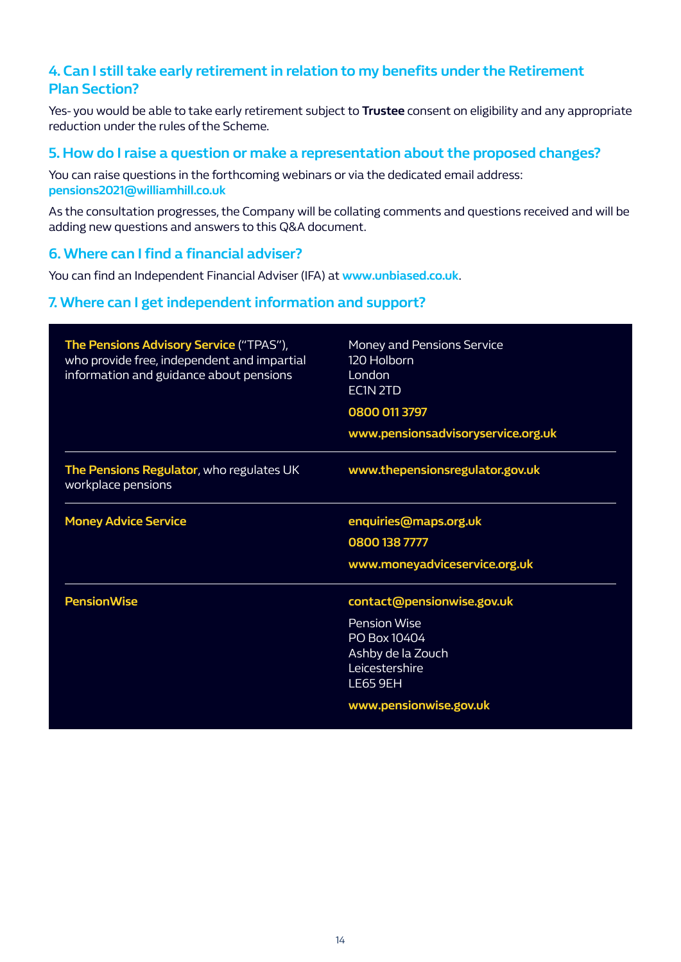# **4. Can I still take early retirement in relation to my benefits under the Retirement Plan Section?**

Yes- you would be able to take early retirement subject to **Trustee** consent on eligibility and any appropriate reduction under the rules of the Scheme.

#### **5. How do I raise a question or make a representation about the proposed changes?**

You can raise questions in the forthcoming webinars or via the dedicated email address: **pensions2021@williamhill.co.uk**

As the consultation progresses, the Company will be collating comments and questions received and will be adding new questions and answers to this Q&A document.

#### **6. Where can I find a financial adviser?**

You can find an Independent Financial Adviser (IFA) at **[www.unbiased.co.uk](http://www.unbiased.co.uk)**.

#### **7. Where can I get independent information and support?**

| The Pensions Advisory Service ("TPAS"),<br>who provide free, independent and impartial<br>information and guidance about pensions | <b>Money and Pensions Service</b><br>120 Holborn<br>London<br>EC1N <sub>2TD</sub><br>0800 011 3797<br>www.pensionsadvisoryservice.org.uk |
|-----------------------------------------------------------------------------------------------------------------------------------|------------------------------------------------------------------------------------------------------------------------------------------|
| The Pensions Regulator, who regulates UK<br>workplace pensions                                                                    | www.thepensionsregulator.gov.uk                                                                                                          |
| <b>Money Advice Service</b>                                                                                                       | enquiries@maps.org.uk<br>0800 138 7777<br>www.moneyadviceservice.org.uk                                                                  |
| <b>PensionWise</b>                                                                                                                | contact@pensionwise.gov.uk<br><b>Pension Wise</b><br>PO Box 10404<br>Ashby de la Zouch<br>Leicestershire<br><b>LE65 9EH</b>              |
|                                                                                                                                   | www.pensionwise.gov.uk                                                                                                                   |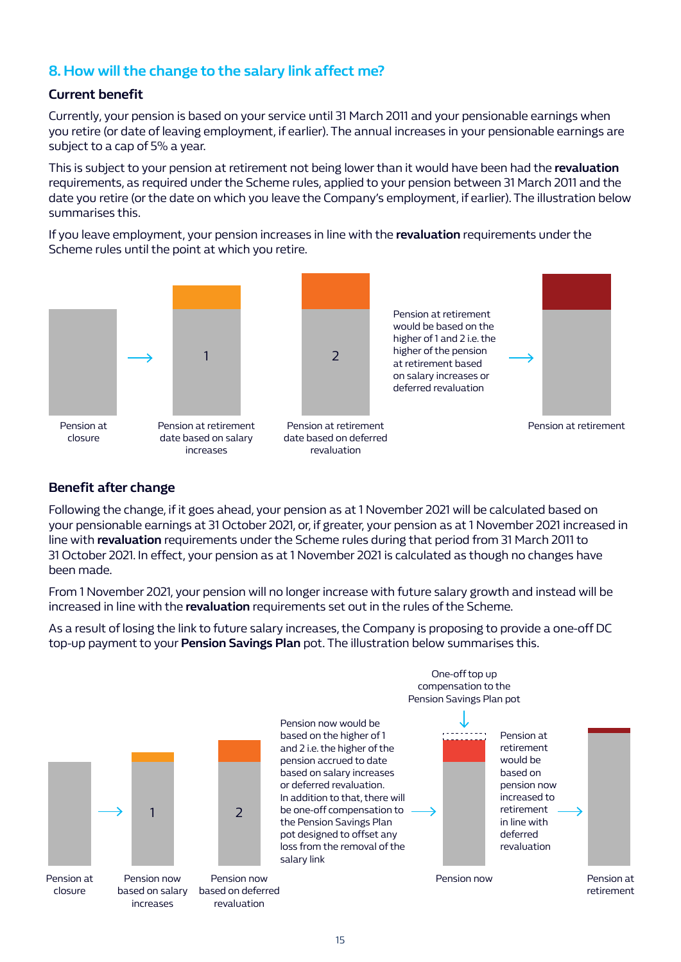# **8. How will the change to the salary link affect me?**

#### **Current benefit**

Currently, your pension is based on your service until 31 March 2011 and your pensionable earnings when you retire (or date of leaving employment, if earlier). The annual increases in your pensionable earnings are subject to a cap of 5% a year.

This is subject to your pension at retirement not being lower than it would have been had the **revaluation** requirements, as required under the Scheme rules, applied to your pension between 31 March 2011 and the date you retire (or the date on which you leave the Company's employment, if earlier). The illustration below summarises this.

If you leave employment, your pension increases in line with the **revaluation** requirements under the Scheme rules until the point at which you retire.



#### **Benefit after change**

Following the change, if it goes ahead, your pension as at 1 November 2021 will be calculated based on your pensionable earnings at 31 October 2021, or, if greater, your pension as at 1 November 2021 increased in line with **revaluation** requirements under the Scheme rules during that period from 31 March 2011 to 31 October 2021. In effect, your pension as at 1 November 2021 is calculated as though no changes have been made.

From 1 November 2021, your pension will no longer increase with future salary growth and instead will be increased in line with the **revaluation** requirements set out in the rules of the Scheme.

As a result of losing the link to future salary increases, the Company is proposing to provide a one-off DC top-up payment to your **Pension Savings Plan** pot. The illustration below summarises this.



closure

Pension now



based on deferred revaluation



salary link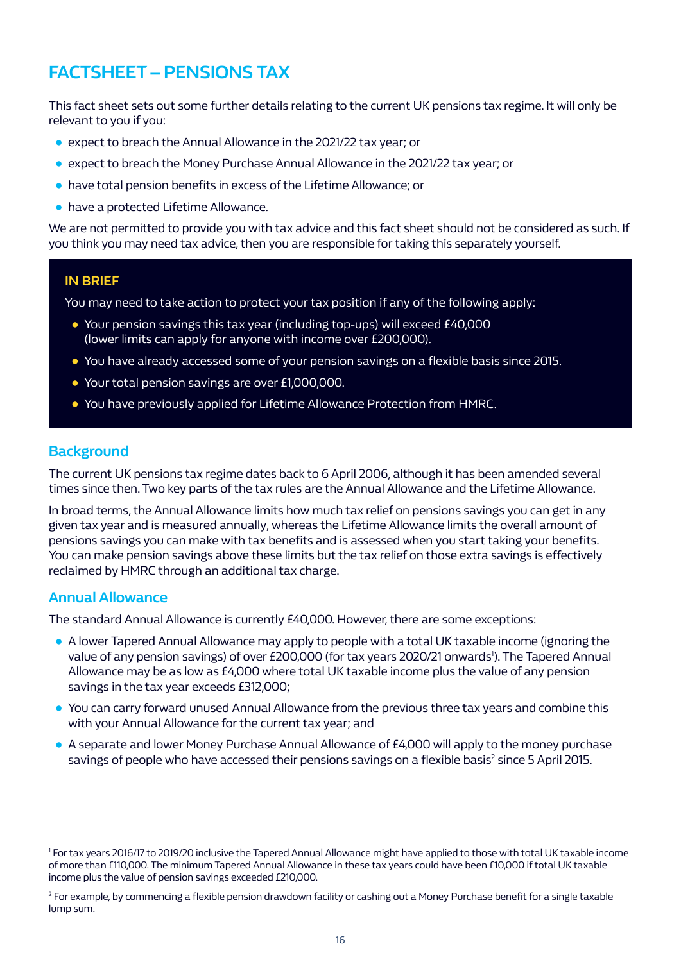# **FACTSHEET – PENSIONS TAX**

This fact sheet sets out some further details relating to the current UK pensions tax regime. It will only be relevant to you if you:

- expect to breach the Annual Allowance in the 2021/22 tax year; or
- expect to breach the Money Purchase Annual Allowance in the 2021/22 tax year; or
- have total pension benefits in excess of the Lifetime Allowance; or
- have a protected Lifetime Allowance.

We are not permitted to provide you with tax advice and this fact sheet should not be considered as such. If you think you may need tax advice, then you are responsible for taking this separately yourself.

#### **IN BRIEF**

You may need to take action to protect your tax position if any of the following apply:

- Your pension savings this tax year (including top-ups) will exceed £40,000 (lower limits can apply for anyone with income over £200,000).
- You have already accessed some of your pension savings on a flexible basis since 2015.
- Your total pension savings are over £1,000,000.
- You have previously applied for Lifetime Allowance Protection from HMRC.

#### **Background**

The current UK pensions tax regime dates back to 6 April 2006, although it has been amended several times since then. Two key parts of the tax rules are the Annual Allowance and the Lifetime Allowance.

In broad terms, the Annual Allowance limits how much tax relief on pensions savings you can get in any given tax year and is measured annually, whereas the Lifetime Allowance limits the overall amount of pensions savings you can make with tax benefits and is assessed when you start taking your benefits. You can make pension savings above these limits but the tax relief on those extra savings is effectively reclaimed by HMRC through an additional tax charge.

#### **Annual Allowance**

The standard Annual Allowance is currently £40,000. However, there are some exceptions:

- A lower Tapered Annual Allowance may apply to people with a total UK taxable income (ignoring the value of any pension savings) of over £200,000 (for tax years 2020/21 onwards<sup>1</sup>). The Tapered Annual Allowance may be as low as £4,000 where total UK taxable income plus the value of any pension savings in the tax year exceeds £312,000;
- You can carry forward unused Annual Allowance from the previous three tax years and combine this with your Annual Allowance for the current tax year; and
- A separate and lower Money Purchase Annual Allowance of £4,000 will apply to the money purchase savings of people who have accessed their pensions savings on a flexible basis<sup>2</sup> since 5 April 2015.

<sup>1</sup> For tax years 2016/17 to 2019/20 inclusive the Tapered Annual Allowance might have applied to those with total UK taxable income of more than £110,000. The minimum Tapered Annual Allowance in these tax years could have been £10,000 if total UK taxable income plus the value of pension savings exceeded £210,000.

<sup>2</sup> For example, by commencing a flexible pension drawdown facility or cashing out a Money Purchase benefit for a single taxable lump sum.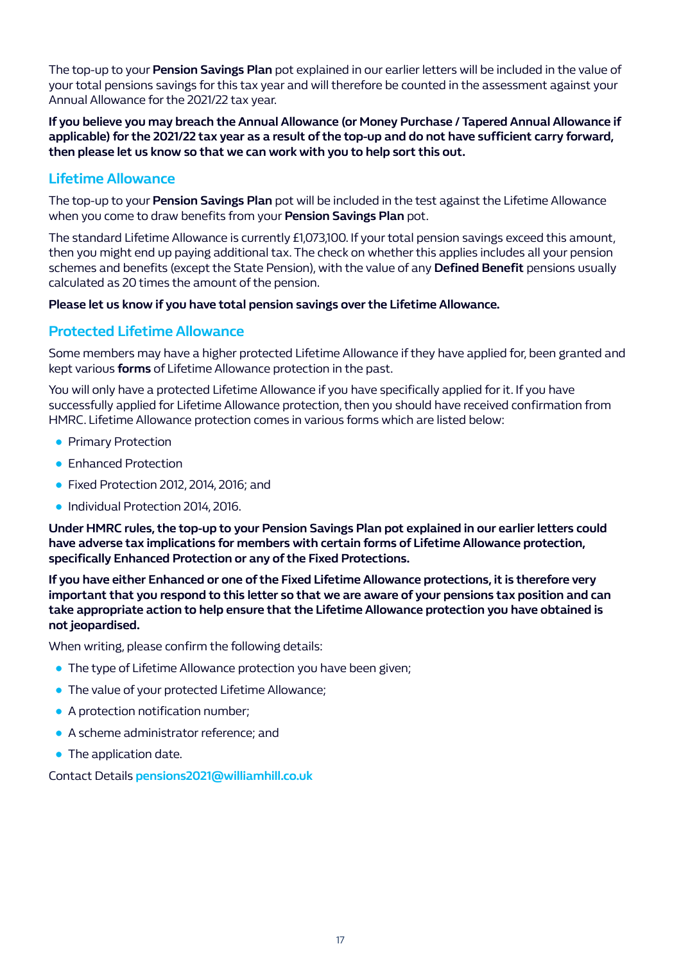The top-up to your **Pension Savings Plan** pot explained in our earlier letters will be included in the value of your total pensions savings for this tax year and will therefore be counted in the assessment against your Annual Allowance for the 2021/22 tax year.

**If you believe you may breach the Annual Allowance (or Money Purchase / Tapered Annual Allowance if applicable) for the 2021/22 tax year as a result of the top-up and do not have sufficient carry forward, then please let us know so that we can work with you to help sort this out.**

## **Lifetime Allowance**

The top-up to your **Pension Savings Plan** pot will be included in the test against the Lifetime Allowance when you come to draw benefits from your **Pension Savings Plan** pot.

The standard Lifetime Allowance is currently £1,073,100. If your total pension savings exceed this amount, then you might end up paying additional tax. The check on whether this applies includes all your pension schemes and benefits (except the State Pension), with the value of any **Defined Benefit** pensions usually calculated as 20 times the amount of the pension.

#### **Please let us know if you have total pension savings over the Lifetime Allowance.**

## **Protected Lifetime Allowance**

Some members may have a higher protected Lifetime Allowance if they have applied for, been granted and kept various **forms** of Lifetime Allowance protection in the past.

You will only have a protected Lifetime Allowance if you have specifically applied for it. If you have successfully applied for Lifetime Allowance protection, then you should have received confirmation from HMRC. Lifetime Allowance protection comes in various forms which are listed below:

- Primary Protection
- Enhanced Protection
- Fixed Protection 2012, 2014, 2016; and
- Individual Protection 2014, 2016.

**Under HMRC rules, the top-up to your Pension Savings Plan pot explained in our earlier letters could have adverse tax implications for members with certain forms of Lifetime Allowance protection, specifically Enhanced Protection or any of the Fixed Protections.**

**If you have either Enhanced or one of the Fixed Lifetime Allowance protections, it is therefore very important that you respond to this letter so that we are aware of your pensions tax position and can take appropriate action to help ensure that the Lifetime Allowance protection you have obtained is not jeopardised.**

When writing, please confirm the following details:

- **The type of Lifetime Allowance protection you have been given;**
- The value of your protected Lifetime Allowance;
- A protection notification number:
- A scheme administrator reference; and
- The application date.

Contact Details **pensions2021@williamhill.co.uk**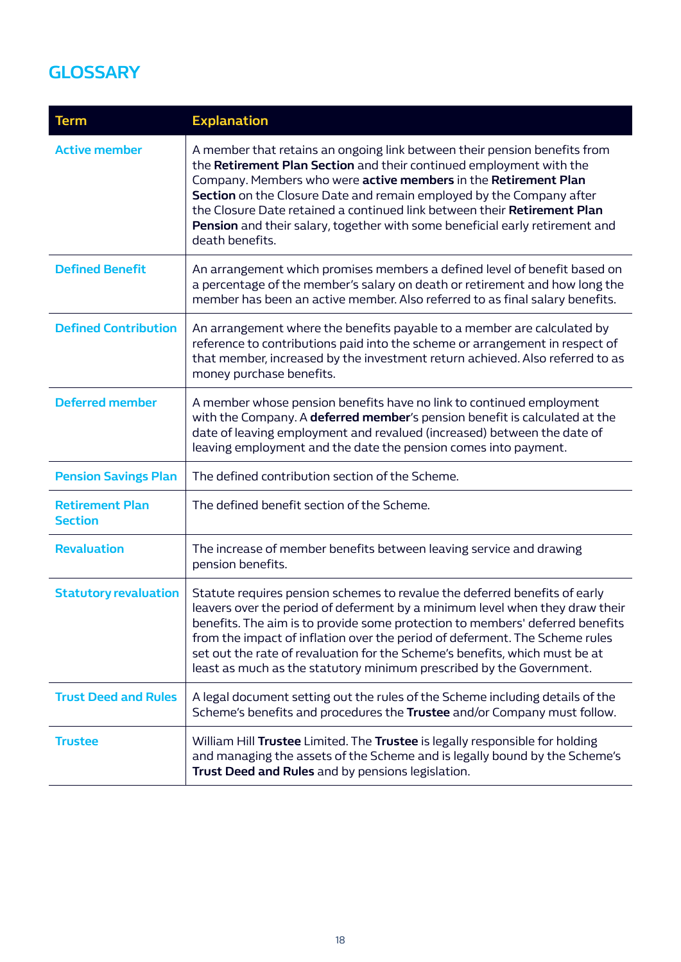# **GLOSSARY**

| <b>Term</b>                              | <b>Explanation</b>                                                                                                                                                                                                                                                                                                                                                                                                                                                                |
|------------------------------------------|-----------------------------------------------------------------------------------------------------------------------------------------------------------------------------------------------------------------------------------------------------------------------------------------------------------------------------------------------------------------------------------------------------------------------------------------------------------------------------------|
| <b>Active member</b>                     | A member that retains an ongoing link between their pension benefits from<br>the Retirement Plan Section and their continued employment with the<br>Company. Members who were active members in the Retirement Plan<br>Section on the Closure Date and remain employed by the Company after<br>the Closure Date retained a continued link between their Retirement Plan<br>Pension and their salary, together with some beneficial early retirement and<br>death benefits.        |
| <b>Defined Benefit</b>                   | An arrangement which promises members a defined level of benefit based on<br>a percentage of the member's salary on death or retirement and how long the<br>member has been an active member. Also referred to as final salary benefits.                                                                                                                                                                                                                                          |
| <b>Defined Contribution</b>              | An arrangement where the benefits payable to a member are calculated by<br>reference to contributions paid into the scheme or arrangement in respect of<br>that member, increased by the investment return achieved. Also referred to as<br>money purchase benefits.                                                                                                                                                                                                              |
| <b>Deferred member</b>                   | A member whose pension benefits have no link to continued employment<br>with the Company. A deferred member's pension benefit is calculated at the<br>date of leaving employment and revalued (increased) between the date of<br>leaving employment and the date the pension comes into payment.                                                                                                                                                                                  |
| <b>Pension Savings Plan</b>              | The defined contribution section of the Scheme.                                                                                                                                                                                                                                                                                                                                                                                                                                   |
| <b>Retirement Plan</b><br><b>Section</b> | The defined benefit section of the Scheme.                                                                                                                                                                                                                                                                                                                                                                                                                                        |
| <b>Revaluation</b>                       | The increase of member benefits between leaving service and drawing<br>pension benefits.                                                                                                                                                                                                                                                                                                                                                                                          |
| <b>Statutory revaluation</b>             | Statute requires pension schemes to revalue the deferred benefits of early<br>leavers over the period of deferment by a minimum level when they draw their<br>benefits. The aim is to provide some protection to members' deferred benefits<br>from the impact of inflation over the period of deferment. The Scheme rules<br>set out the rate of revaluation for the Scheme's benefits, which must be at<br>least as much as the statutory minimum prescribed by the Government. |
| <b>Trust Deed and Rules</b>              | A legal document setting out the rules of the Scheme including details of the<br>Scheme's benefits and procedures the Trustee and/or Company must follow.                                                                                                                                                                                                                                                                                                                         |
| <b>Trustee</b>                           | William Hill Trustee Limited. The Trustee is legally responsible for holding<br>and managing the assets of the Scheme and is legally bound by the Scheme's<br>Trust Deed and Rules and by pensions legislation.                                                                                                                                                                                                                                                                   |